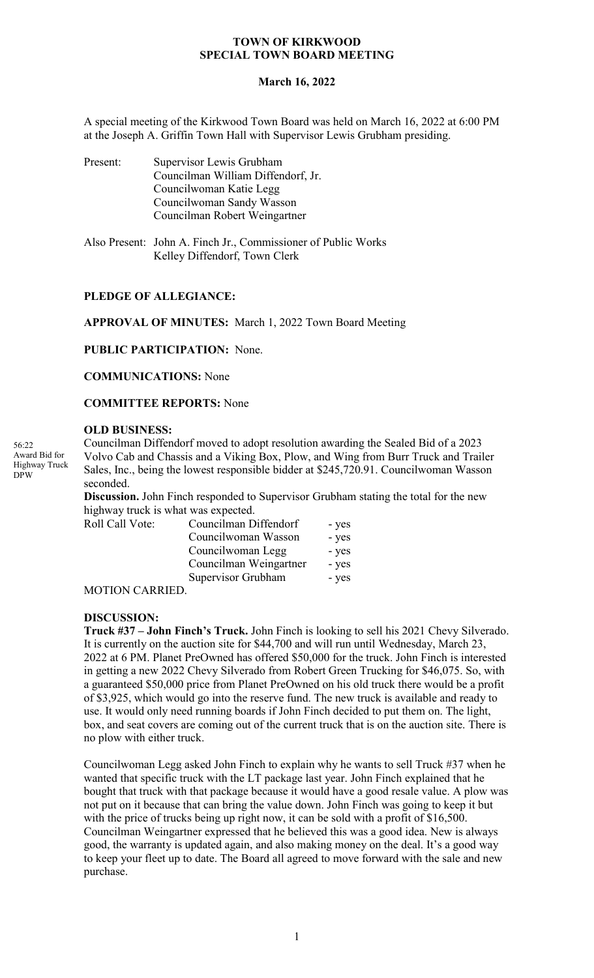#### **TOWN OF KIRKWOOD SPECIAL TOWN BOARD MEETING**

#### **March 16, 2022**

A special meeting of the Kirkwood Town Board was held on March 16, 2022 at 6:00 PM at the Joseph A. Griffin Town Hall with Supervisor Lewis Grubham presiding.

| Present: | Supervisor Lewis Grubham           |
|----------|------------------------------------|
|          | Councilman William Diffendorf, Jr. |
|          | Councilwoman Katie Legg            |
|          | Councilwoman Sandy Wasson          |
|          | Councilman Robert Weingartner      |
|          |                                    |

Also Present: John A. Finch Jr., Commissioner of Public Works Kelley Diffendorf, Town Clerk

## **PLEDGE OF ALLEGIANCE:**

**APPROVAL OF MINUTES:** March 1, 2022 Town Board Meeting

**PUBLIC PARTICIPATION:** None.

**COMMUNICATIONS:** None

**COMMITTEE REPORTS:** None

### **OLD BUSINESS:**

Councilman Diffendorf moved to adopt resolution awarding the Sealed Bid of a 2023 Volvo Cab and Chassis and a Viking Box, Plow, and Wing from Burr Truck and Trailer Sales, Inc., being the lowest responsible bidder at \$245,720.91. Councilwoman Wasson seconded.

**Discussion.** John Finch responded to Supervisor Grubham stating the total for the new highway truck is what was expected.

| Roll Call Vote: | Councilman Diffendorf  | - yes |
|-----------------|------------------------|-------|
|                 | Councilwoman Wasson    | - yes |
|                 | Councilwoman Legg      | - yes |
|                 | Councilman Weingartner | - yes |
|                 | Supervisor Grubham     | - yes |

MOTION CARRIED.

#### **DISCUSSION:**

**Truck #37 – John Finch's Truck.** John Finch is looking to sell his 2021 Chevy Silverado. It is currently on the auction site for \$44,700 and will run until Wednesday, March 23, 2022 at 6 PM. Planet PreOwned has offered \$50,000 for the truck. John Finch is interested in getting a new 2022 Chevy Silverado from Robert Green Trucking for \$46,075. So, with a guaranteed \$50,000 price from Planet PreOwned on his old truck there would be a profit of \$3,925, which would go into the reserve fund. The new truck is available and ready to use. It would only need running boards if John Finch decided to put them on. The light, box, and seat covers are coming out of the current truck that is on the auction site. There is no plow with either truck.

Councilwoman Legg asked John Finch to explain why he wants to sell Truck #37 when he wanted that specific truck with the LT package last year. John Finch explained that he bought that truck with that package because it would have a good resale value. A plow was not put on it because that can bring the value down. John Finch was going to keep it but with the price of trucks being up right now, it can be sold with a profit of \$16,500. Councilman Weingartner expressed that he believed this was a good idea. New is always good, the warranty is updated again, and also making money on the deal. It's a good way to keep your fleet up to date. The Board all agreed to move forward with the sale and new purchase.

56:22 Award Bid for Highway Truck DPW